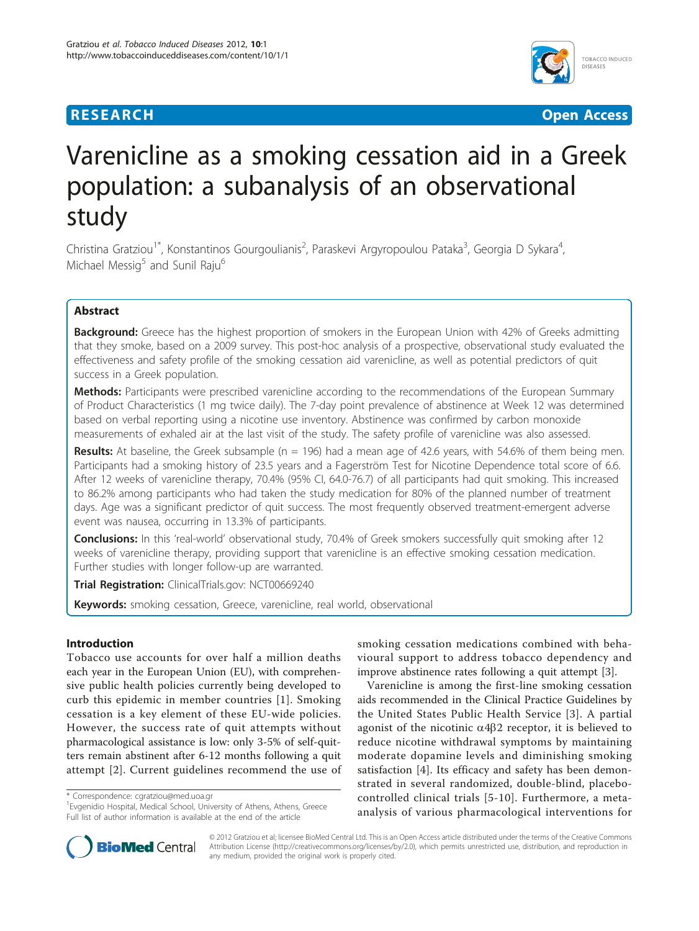## **RESEARCH CONTROL** CONTROL CONTROL CONTROL CONTROL CONTROL CONTROL CONTROL CONTROL CONTROL CONTROL CONTROL CONTROL



# Varenicline as a smoking cessation aid in a Greek population: a subanalysis of an observational study

Christina Gratziou<sup>1\*</sup>, Konstantinos Gourgoulianis<sup>2</sup>, Paraskevi Argyropoulou Pataka<sup>3</sup>, Georgia D Sykara<sup>4</sup> , Michael Messig<sup>5</sup> and Sunil Raju<sup>6</sup>

## Abstract

**Background:** Greece has the highest proportion of smokers in the European Union with 42% of Greeks admitting that they smoke, based on a 2009 survey. This post-hoc analysis of a prospective, observational study evaluated the effectiveness and safety profile of the smoking cessation aid varenicline, as well as potential predictors of quit success in a Greek population.

Methods: Participants were prescribed varenicline according to the recommendations of the European Summary of Product Characteristics (1 mg twice daily). The 7-day point prevalence of abstinence at Week 12 was determined based on verbal reporting using a nicotine use inventory. Abstinence was confirmed by carbon monoxide measurements of exhaled air at the last visit of the study. The safety profile of varenicline was also assessed.

**Results:** At baseline, the Greek subsample ( $n = 196$ ) had a mean age of 42.6 years, with 54.6% of them being men. Participants had a smoking history of 23.5 years and a Fagerström Test for Nicotine Dependence total score of 6.6. After 12 weeks of varenicline therapy, 70.4% (95% CI, 64.0-76.7) of all participants had quit smoking. This increased to 86.2% among participants who had taken the study medication for 80% of the planned number of treatment days. Age was a significant predictor of quit success. The most frequently observed treatment-emergent adverse event was nausea, occurring in 13.3% of participants.

**Conclusions:** In this 'real-world' observational study, 70.4% of Greek smokers successfully quit smoking after 12 weeks of varenicline therapy, providing support that varenicline is an effective smoking cessation medication. Further studies with longer follow-up are warranted.

**Trial Registration:** ClinicalTrials.gov: [NCT00669240](http://www.clinicaltrials.gov/ct2/show/NCT00669240)

**Keywords:** smoking cessation, Greece, varenicline, real world, observational

## Introduction

Tobacco use accounts for over half a million deaths each year in the European Union (EU), with comprehensive public health policies currently being developed to curb this epidemic in member countries [[1\]](#page-6-0). Smoking cessation is a key element of these EU-wide policies. However, the success rate of quit attempts without pharmacological assistance is low: only 3-5% of self-quitters remain abstinent after 6-12 months following a quit attempt [\[2\]](#page-6-0). Current guidelines recommend the use of

\* Correspondence: [cgratziou@med.uoa.gr](mailto:cgratziou@med.uoa.gr)

smoking cessation medications combined with behavioural support to address tobacco dependency and improve abstinence rates following a quit attempt [[3\]](#page-6-0).

Varenicline is among the first-line smoking cessation aids recommended in the Clinical Practice Guidelines by the United States Public Health Service [[3\]](#page-6-0). A partial agonist of the nicotinic  $\alpha$ 4 $\beta$ 2 receptor, it is believed to reduce nicotine withdrawal symptoms by maintaining moderate dopamine levels and diminishing smoking satisfaction [\[4](#page-6-0)]. Its efficacy and safety has been demonstrated in several randomized, double-blind, placebocontrolled clinical trials [[5](#page-6-0)-[10](#page-6-0)]. Furthermore, a metaanalysis of various pharmacological interventions for



© 2012 Gratziou et al; licensee BioMed Central Ltd. This is an Open Access article distributed under the terms of the Creative Commons Attribution License [\(http://creativecommons.org/licenses/by/2.0](http://creativecommons.org/licenses/by/2.0)), which permits unrestricted use, distribution, and reproduction in any medium, provided the original work is properly cited.

<sup>&</sup>lt;sup>1</sup> Evgenidio Hospital, Medical School, University of Athens, Athens, Greece Full list of author information is available at the end of the article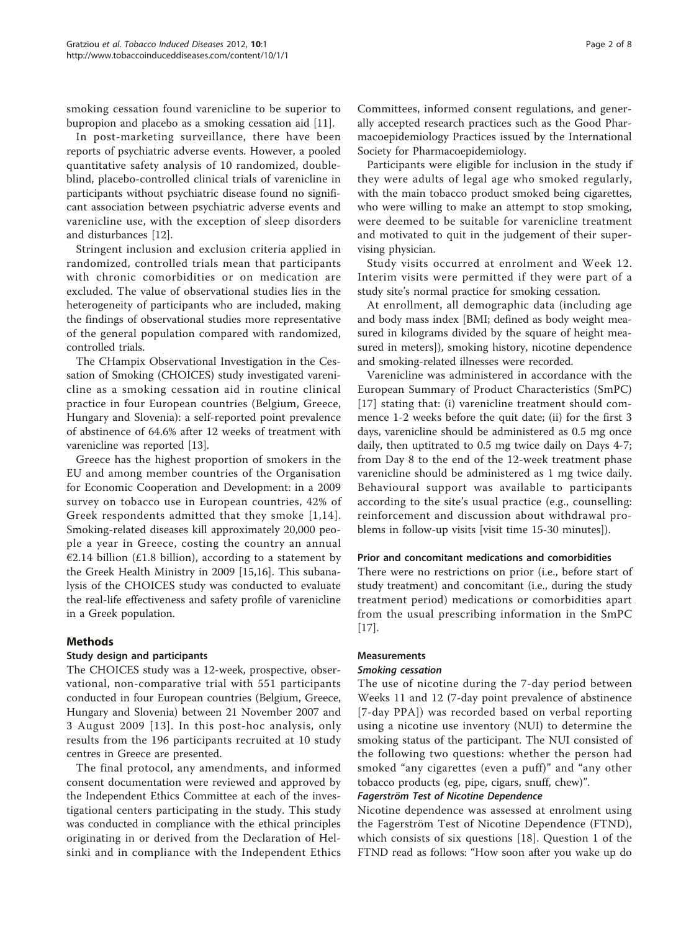smoking cessation found varenicline to be superior to bupropion and placebo as a smoking cessation aid [\[11](#page-6-0)].

In post-marketing surveillance, there have been reports of psychiatric adverse events. However, a pooled quantitative safety analysis of 10 randomized, doubleblind, placebo-controlled clinical trials of varenicline in participants without psychiatric disease found no significant association between psychiatric adverse events and varenicline use, with the exception of sleep disorders and disturbances [\[12](#page-6-0)].

Stringent inclusion and exclusion criteria applied in randomized, controlled trials mean that participants with chronic comorbidities or on medication are excluded. The value of observational studies lies in the heterogeneity of participants who are included, making the findings of observational studies more representative of the general population compared with randomized, controlled trials.

The CHampix Observational Investigation in the Cessation of Smoking (CHOICES) study investigated varenicline as a smoking cessation aid in routine clinical practice in four European countries (Belgium, Greece, Hungary and Slovenia): a self-reported point prevalence of abstinence of 64.6% after 12 weeks of treatment with varenicline was reported [\[13](#page-6-0)].

Greece has the highest proportion of smokers in the EU and among member countries of the Organisation for Economic Cooperation and Development: in a 2009 survey on tobacco use in European countries, 42% of Greek respondents admitted that they smoke [\[1,14\]](#page-6-0). Smoking-related diseases kill approximately 20,000 people a year in Greece, costing the country an annual  $\epsilon$ 2.14 billion (£1.8 billion), according to a statement by the Greek Health Ministry in 2009 [[15,16](#page-6-0)]. This subanalysis of the CHOICES study was conducted to evaluate the real-life effectiveness and safety profile of varenicline in a Greek population.

## Methods

## Study design and participants

The CHOICES study was a 12-week, prospective, observational, non-comparative trial with 551 participants conducted in four European countries (Belgium, Greece, Hungary and Slovenia) between 21 November 2007 and 3 August 2009 [[13\]](#page-6-0). In this post-hoc analysis, only results from the 196 participants recruited at 10 study centres in Greece are presented.

The final protocol, any amendments, and informed consent documentation were reviewed and approved by the Independent Ethics Committee at each of the investigational centers participating in the study. This study was conducted in compliance with the ethical principles originating in or derived from the Declaration of Helsinki and in compliance with the Independent Ethics

Committees, informed consent regulations, and generally accepted research practices such as the Good Pharmacoepidemiology Practices issued by the International Society for Pharmacoepidemiology.

Participants were eligible for inclusion in the study if they were adults of legal age who smoked regularly, with the main tobacco product smoked being cigarettes, who were willing to make an attempt to stop smoking, were deemed to be suitable for varenicline treatment and motivated to quit in the judgement of their supervising physician.

Study visits occurred at enrolment and Week 12. Interim visits were permitted if they were part of a study site's normal practice for smoking cessation.

At enrollment, all demographic data (including age and body mass index [BMI; defined as body weight measured in kilograms divided by the square of height measured in meters]), smoking history, nicotine dependence and smoking-related illnesses were recorded.

Varenicline was administered in accordance with the European Summary of Product Characteristics (SmPC) [[17](#page-6-0)] stating that: (i) varenicline treatment should commence 1-2 weeks before the quit date; (ii) for the first 3 days, varenicline should be administered as 0.5 mg once daily, then uptitrated to 0.5 mg twice daily on Days 4-7; from Day 8 to the end of the 12-week treatment phase varenicline should be administered as 1 mg twice daily. Behavioural support was available to participants according to the site's usual practice (e.g., counselling: reinforcement and discussion about withdrawal problems in follow-up visits [visit time 15-30 minutes]).

## Prior and concomitant medications and comorbidities

There were no restrictions on prior (i.e., before start of study treatment) and concomitant (i.e., during the study treatment period) medications or comorbidities apart from the usual prescribing information in the SmPC [[17\]](#page-6-0).

## Measurements

#### Smoking cessation

The use of nicotine during the 7-day period between Weeks 11 and 12 (7-day point prevalence of abstinence [7-day PPA]) was recorded based on verbal reporting using a nicotine use inventory (NUI) to determine the smoking status of the participant. The NUI consisted of the following two questions: whether the person had smoked "any cigarettes (even a puff)" and "any other tobacco products (eg, pipe, cigars, snuff, chew)".

## Fagerström Test of Nicotine Dependence

Nicotine dependence was assessed at enrolment using the Fagerström Test of Nicotine Dependence (FTND), which consists of six questions [[18\]](#page-6-0). Question 1 of the FTND read as follows: "How soon after you wake up do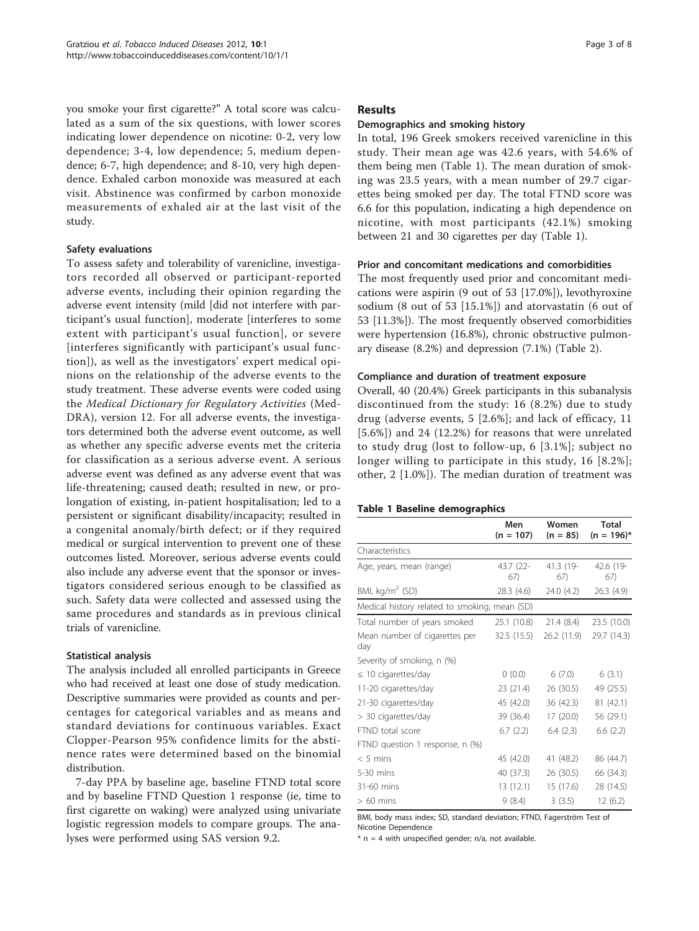you smoke your first cigarette?" A total score was calculated as a sum of the six questions, with lower scores indicating lower dependence on nicotine: 0-2, very low dependence; 3-4, low dependence; 5, medium dependence; 6-7, high dependence; and 8-10, very high dependence. Exhaled carbon monoxide was measured at each visit. Abstinence was confirmed by carbon monoxide measurements of exhaled air at the last visit of the study.

## Safety evaluations

To assess safety and tolerability of varenicline, investigators recorded all observed or participant-reported adverse events, including their opinion regarding the adverse event intensity (mild [did not interfere with participant's usual function], moderate [interferes to some extent with participant's usual function], or severe [interferes significantly with participant's usual function]), as well as the investigators' expert medical opinions on the relationship of the adverse events to the study treatment. These adverse events were coded using the Medical Dictionary for Regulatory Activities (Med-DRA), version 12. For all adverse events, the investigators determined both the adverse event outcome, as well as whether any specific adverse events met the criteria for classification as a serious adverse event. A serious adverse event was defined as any adverse event that was life-threatening; caused death; resulted in new, or prolongation of existing, in-patient hospitalisation; led to a persistent or significant disability/incapacity; resulted in a congenital anomaly/birth defect; or if they required medical or surgical intervention to prevent one of these outcomes listed. Moreover, serious adverse events could also include any adverse event that the sponsor or investigators considered serious enough to be classified as such. Safety data were collected and assessed using the same procedures and standards as in previous clinical trials of varenicline.

## Statistical analysis

The analysis included all enrolled participants in Greece who had received at least one dose of study medication. Descriptive summaries were provided as counts and percentages for categorical variables and as means and standard deviations for continuous variables. Exact Clopper-Pearson 95% confidence limits for the abstinence rates were determined based on the binomial distribution.

7-day PPA by baseline age, baseline FTND total score and by baseline FTND Question 1 response (ie, time to first cigarette on waking) were analyzed using univariate logistic regression models to compare groups. The analyses were performed using SAS version 9.2.

## Results

## Demographics and smoking history

In total, 196 Greek smokers received varenicline in this study. Their mean age was 42.6 years, with 54.6% of them being men (Table 1). The mean duration of smoking was 23.5 years, with a mean number of 29.7 cigarettes being smoked per day. The total FTND score was 6.6 for this population, indicating a high dependence on nicotine, with most participants (42.1%) smoking between 21 and 30 cigarettes per day (Table 1).

## Prior and concomitant medications and comorbidities

The most frequently used prior and concomitant medications were aspirin (9 out of 53 [17.0%]), levothyroxine sodium (8 out of 53 [15.1%]) and atorvastatin (6 out of 53 [11.3%]). The most frequently observed comorbidities were hypertension (16.8%), chronic obstructive pulmonary disease (8.2%) and depression (7.1%) (Table [2\)](#page-3-0).

## Compliance and duration of treatment exposure

Overall, 40 (20.4%) Greek participants in this subanalysis discontinued from the study: 16 (8.2%) due to study drug (adverse events, 5 [2.6%]; and lack of efficacy, 11 [5.6%]) and 24 (12.2%) for reasons that were unrelated to study drug (lost to follow-up, 6 [3.1%]; subject no longer willing to participate in this study, 16 [8.2%]; other, 2 [1.0%]). The median duration of treatment was

## Table 1 Baseline demographics

|                                               | Men<br>$(n = 107)$ | Women<br>$(n = 85)$ | <b>Total</b><br>$(n = 196)^*$ |
|-----------------------------------------------|--------------------|---------------------|-------------------------------|
| Characteristics                               |                    |                     |                               |
| Age, years, mean (range)                      | 43.7 (22-<br>67)   | 41.3 (19-<br>67)    | 42.6 (19-<br>67)              |
| BMI, kg/m <sup>2</sup> (SD)                   | 28.3(4.6)          | 24.0 (4.2)          | 26.3(4.9)                     |
| Medical history related to smoking, mean (SD) |                    |                     |                               |
| Total number of years smoked                  | 25.1 (10.8)        | 21.4 (8.4)          | 23.5 (10.0)                   |
| Mean number of cigarettes per<br>day          | 32.5(15.5)         | 26.2 (11.9)         | 29.7 (14.3)                   |
| Severity of smoking, n (%)                    |                    |                     |                               |
| $\leq$ 10 cigarettes/day                      | (0.0)              | 6(7.0)              | 6(3.1)                        |
| 11-20 cigarettes/day                          | 23 (21.4)          | 26(30.5)            | 49 (25.5)                     |
| 21-30 cigarettes/day                          | 45 (42.0)          | 36(42.3)            | 81(42.1)                      |
| > 30 cigarettes/day                           | 39 (36.4)          | 17(20.0)            | 56 (29.1)                     |
| FTND total score                              | 6.7(2.2)           | 6.4(2.3)            | 6.6(2.2)                      |
| FTND question 1 response, n (%)               |                    |                     |                               |
| $< 5$ mins                                    | 45 (42.0)          | 41 (48.2)           | 86 (44.7)                     |
| 5-30 mins                                     | 40 (37.3)          | 26(30.5)            | 66 (34.3)                     |
| 31-60 mins                                    | 13 (12.1)          | 15 (17.6)           | 28 (14.5)                     |
| $>60$ mins                                    | 9(8.4)             | 3(3.5)              | 12(6.2)                       |

BMI, body mass index; SD, standard deviation; FTND, Fagerström Test of Nicotine Dependence

 $*$  n = 4 with unspecified gender;  $n/a$ , not available.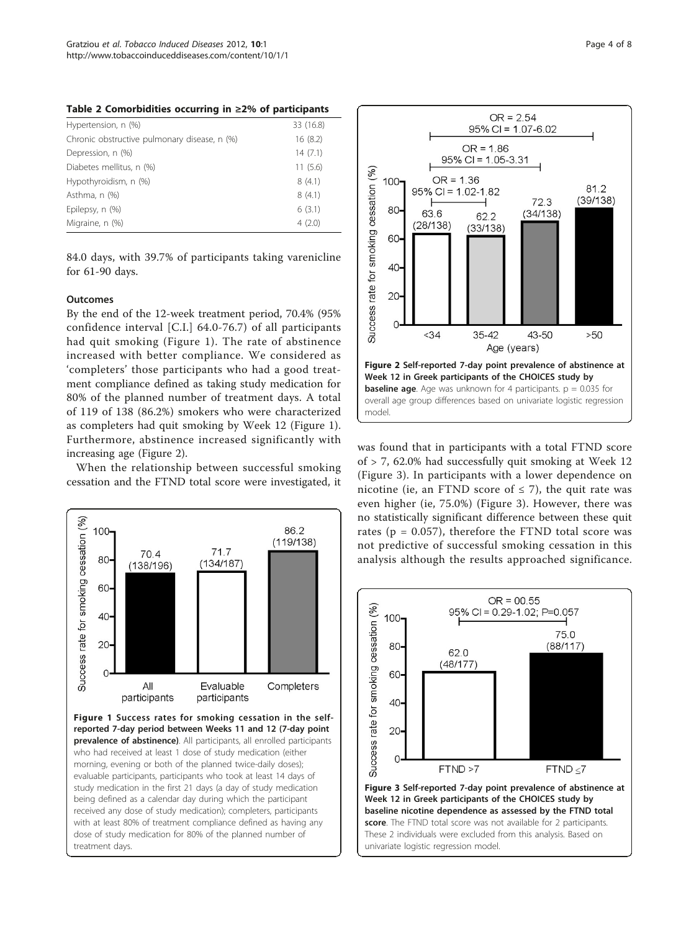<span id="page-3-0"></span>

| Table 2 Comorbidities occurring in $\geq$ 2% of participants |  |  |
|--------------------------------------------------------------|--|--|
|--------------------------------------------------------------|--|--|

| Hypertension, n (%)                          | 33 (16.8) |
|----------------------------------------------|-----------|
| Chronic obstructive pulmonary disease, n (%) | 16(8.2)   |
| Depression, n (%)                            | 14(7.1)   |
| Diabetes mellitus, n (%)                     | 11(5.6)   |
| Hypothyroidism, n (%)                        | 8(4.1)    |
| Asthma, n (%)                                | 8(4.1)    |
| Epilepsy, n (%)                              | 6(3.1)    |
| Migraine, n (%)                              | 4(2.0)    |

84.0 days, with 39.7% of participants taking varenicline for 61-90 days.

#### **Outcomes**

By the end of the 12-week treatment period, 70.4% (95% confidence interval [C.I.] 64.0-76.7) of all participants had quit smoking (Figure 1). The rate of abstinence increased with better compliance. We considered as 'completers' those participants who had a good treatment compliance defined as taking study medication for 80% of the planned number of treatment days. A total of 119 of 138 (86.2%) smokers who were characterized as completers had quit smoking by Week 12 (Figure 1). Furthermore, abstinence increased significantly with increasing age (Figure 2).

When the relationship between successful smoking cessation and the FTND total score were investigated, it







was found that in participants with a total FTND score of > 7, 62.0% had successfully quit smoking at Week 12 (Figure 3). In participants with a lower dependence on nicotine (ie, an FTND score of  $\leq$  7), the quit rate was even higher (ie, 75.0%) (Figure 3). However, there was no statistically significant difference between these quit rates ( $p = 0.057$ ), therefore the FTND total score was not predictive of successful smoking cessation in this analysis although the results approached significance.

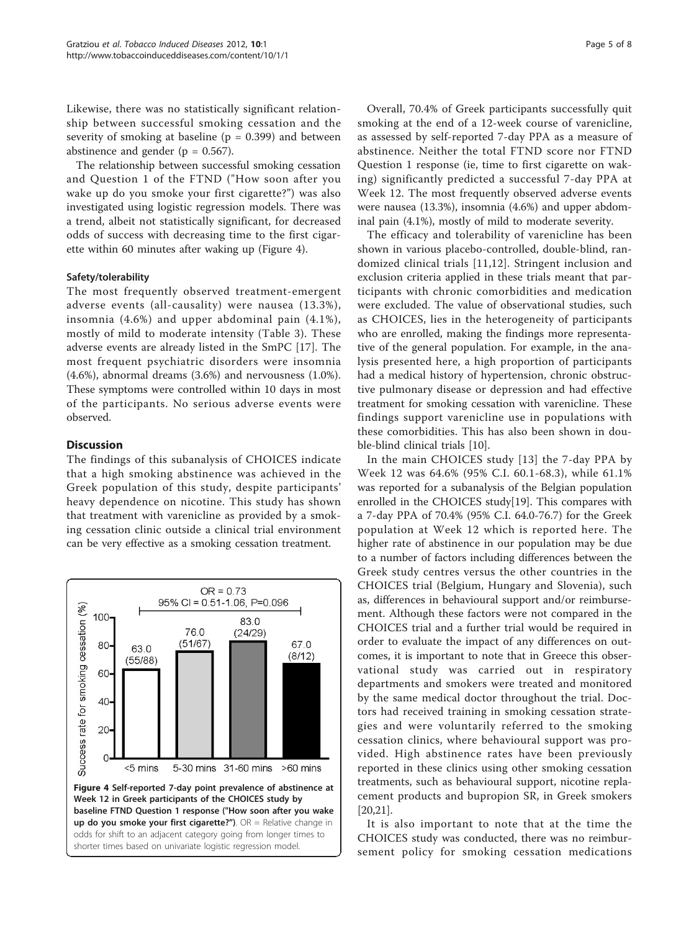Likewise, there was no statistically significant relationship between successful smoking cessation and the severity of smoking at baseline ( $p = 0.399$ ) and between abstinence and gender ( $p = 0.567$ ).

The relationship between successful smoking cessation and Question 1 of the FTND ("How soon after you wake up do you smoke your first cigarette?") was also investigated using logistic regression models. There was a trend, albeit not statistically significant, for decreased odds of success with decreasing time to the first cigarette within 60 minutes after waking up (Figure 4).

## Safety/tolerability

The most frequently observed treatment-emergent adverse events (all-causality) were nausea (13.3%), insomnia (4.6%) and upper abdominal pain (4.1%), mostly of mild to moderate intensity (Table [3](#page-5-0)). These adverse events are already listed in the SmPC [\[17](#page-6-0)]. The most frequent psychiatric disorders were insomnia (4.6%), abnormal dreams (3.6%) and nervousness (1.0%). These symptoms were controlled within 10 days in most of the participants. No serious adverse events were observed.

## **Discussion**

The findings of this subanalysis of CHOICES indicate that a high smoking abstinence was achieved in the Greek population of this study, despite participants' heavy dependence on nicotine. This study has shown that treatment with varenicline as provided by a smoking cessation clinic outside a clinical trial environment can be very effective as a smoking cessation treatment.



Overall, 70.4% of Greek participants successfully quit smoking at the end of a 12-week course of varenicline, as assessed by self-reported 7-day PPA as a measure of abstinence. Neither the total FTND score nor FTND Question 1 response (ie, time to first cigarette on waking) significantly predicted a successful 7-day PPA at Week 12. The most frequently observed adverse events were nausea (13.3%), insomnia (4.6%) and upper abdominal pain (4.1%), mostly of mild to moderate severity.

The efficacy and tolerability of varenicline has been shown in various placebo-controlled, double-blind, randomized clinical trials [\[11,12](#page-6-0)]. Stringent inclusion and exclusion criteria applied in these trials meant that participants with chronic comorbidities and medication were excluded. The value of observational studies, such as CHOICES, lies in the heterogeneity of participants who are enrolled, making the findings more representative of the general population. For example, in the analysis presented here, a high proportion of participants had a medical history of hypertension, chronic obstructive pulmonary disease or depression and had effective treatment for smoking cessation with varenicline. These findings support varenicline use in populations with these comorbidities. This has also been shown in double-blind clinical trials [[10](#page-6-0)].

In the main CHOICES study [[13](#page-6-0)] the 7-day PPA by Week 12 was 64.6% (95% C.I. 60.1-68.3), while 61.1% was reported for a subanalysis of the Belgian population enrolled in the CHOICES study[[19\]](#page-6-0). This compares with a 7-day PPA of 70.4% (95% C.I. 64.0-76.7) for the Greek population at Week 12 which is reported here. The higher rate of abstinence in our population may be due to a number of factors including differences between the Greek study centres versus the other countries in the CHOICES trial (Belgium, Hungary and Slovenia), such as, differences in behavioural support and/or reimbursement. Although these factors were not compared in the CHOICES trial and a further trial would be required in order to evaluate the impact of any differences on outcomes, it is important to note that in Greece this observational study was carried out in respiratory departments and smokers were treated and monitored by the same medical doctor throughout the trial. Doctors had received training in smoking cessation strategies and were voluntarily referred to the smoking cessation clinics, where behavioural support was provided. High abstinence rates have been previously reported in these clinics using other smoking cessation treatments, such as behavioural support, nicotine replacement products and bupropion SR, in Greek smokers [[20,21\]](#page-6-0).

It is also important to note that at the time the CHOICES study was conducted, there was no reimbursement policy for smoking cessation medications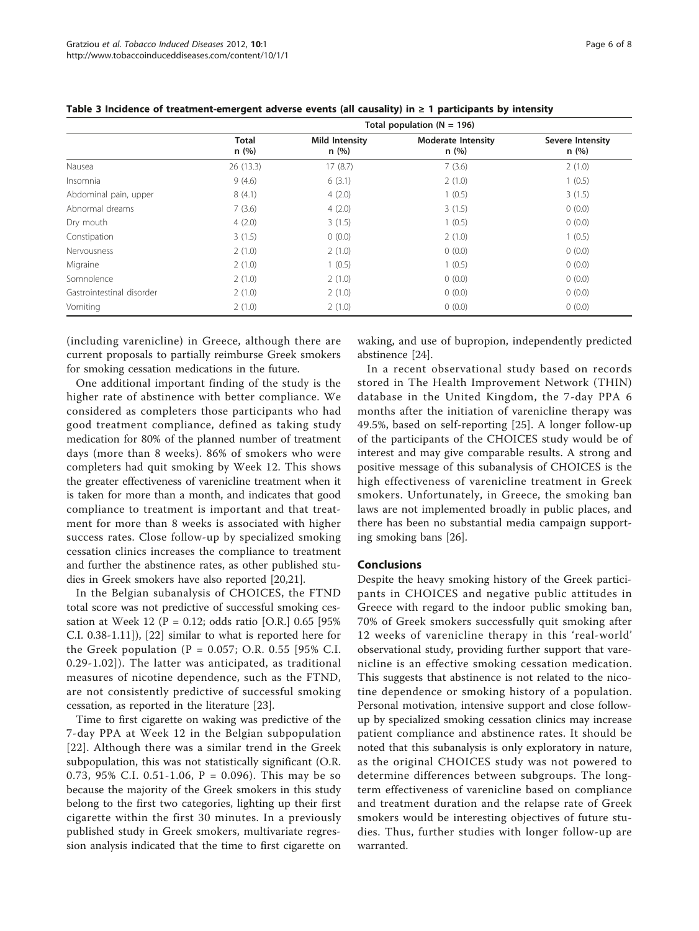|                           | Total population ( $N = 196$ ) |                               |                                   |                          |  |  |
|---------------------------|--------------------------------|-------------------------------|-----------------------------------|--------------------------|--|--|
|                           | <b>Total</b><br>n(%)           | <b>Mild Intensity</b><br>n(%) | <b>Moderate Intensity</b><br>n(%) | Severe Intensity<br>n(%) |  |  |
| Nausea                    | 26 (13.3)                      | 17(8.7)                       | 7(3.6)                            | 2(1.0)                   |  |  |
| Insomnia                  | 9(4.6)                         | 6(3.1)                        | 2(1.0)                            | 1(0.5)                   |  |  |
| Abdominal pain, upper     | 8(4.1)                         | 4(2.0)                        | 1(0.5)                            | 3(1.5)                   |  |  |
| Abnormal dreams           | 7(3.6)                         | 4(2.0)                        | 3(1.5)                            | 0(0.0)                   |  |  |
| Dry mouth                 | 4(2.0)                         | 3(1.5)                        | 1(0.5)                            | 0(0.0)                   |  |  |
| Constipation              | 3(1.5)                         | 0(0.0)                        | 2(1.0)                            | 1(0.5)                   |  |  |
| Nervousness               | 2(1.0)                         | 2(1.0)                        | 0(0.0)                            | 0(0.0)                   |  |  |
| Migraine                  | 2(1.0)                         | (0.5)                         | 1(0.5)                            | 0(0.0)                   |  |  |
| Somnolence                | 2(1.0)                         | 2(1.0)                        | 0(0.0)                            | 0(0.0)                   |  |  |
| Gastrointestinal disorder | 2(1.0)                         | 2(1.0)                        | 0(0.0)                            | 0(0.0)                   |  |  |

<span id="page-5-0"></span>Table 3 Incidence of treatment-emergent adverse events (all causality) in  $\geq 1$  participants by intensity

Vomiting 0 0 0.0) 2 (1.0) 2 (1.0) 2 (1.0) 0 (0.0) 0 (0.0) 0 (0.0)

(including varenicline) in Greece, although there are current proposals to partially reimburse Greek smokers for smoking cessation medications in the future.

One additional important finding of the study is the higher rate of abstinence with better compliance. We considered as completers those participants who had good treatment compliance, defined as taking study medication for 80% of the planned number of treatment days (more than 8 weeks). 86% of smokers who were completers had quit smoking by Week 12. This shows the greater effectiveness of varenicline treatment when it is taken for more than a month, and indicates that good compliance to treatment is important and that treatment for more than 8 weeks is associated with higher success rates. Close follow-up by specialized smoking cessation clinics increases the compliance to treatment and further the abstinence rates, as other published studies in Greek smokers have also reported [[20,21](#page-6-0)].

In the Belgian subanalysis of CHOICES, the FTND total score was not predictive of successful smoking cessation at Week 12 (P = 0.12; odds ratio [O.R.] 0.65 [95%] C.I. 0.38-1.11]), [[22\]](#page-7-0) similar to what is reported here for the Greek population ( $P = 0.057$ ; O.R. 0.55 [95% C.I. 0.29-1.02]). The latter was anticipated, as traditional measures of nicotine dependence, such as the FTND, are not consistently predictive of successful smoking cessation, as reported in the literature [\[23\]](#page-7-0).

Time to first cigarette on waking was predictive of the 7-day PPA at Week 12 in the Belgian subpopulation [[22](#page-7-0)]. Although there was a similar trend in the Greek subpopulation, this was not statistically significant (O.R. 0.73, 95% C.I. 0.51-1.06,  $P = 0.096$ ). This may be so because the majority of the Greek smokers in this study belong to the first two categories, lighting up their first cigarette within the first 30 minutes. In a previously published study in Greek smokers, multivariate regression analysis indicated that the time to first cigarette on

waking, and use of bupropion, independently predicted abstinence [[24\]](#page-7-0).

In a recent observational study based on records stored in The Health Improvement Network (THIN) database in the United Kingdom, the 7-day PPA 6 months after the initiation of varenicline therapy was 49.5%, based on self-reporting [[25](#page-7-0)]. A longer follow-up of the participants of the CHOICES study would be of interest and may give comparable results. A strong and positive message of this subanalysis of CHOICES is the high effectiveness of varenicline treatment in Greek smokers. Unfortunately, in Greece, the smoking ban laws are not implemented broadly in public places, and there has been no substantial media campaign supporting smoking bans [\[26](#page-7-0)].

## **Conclusions**

Despite the heavy smoking history of the Greek participants in CHOICES and negative public attitudes in Greece with regard to the indoor public smoking ban, 70% of Greek smokers successfully quit smoking after 12 weeks of varenicline therapy in this 'real-world' observational study, providing further support that varenicline is an effective smoking cessation medication. This suggests that abstinence is not related to the nicotine dependence or smoking history of a population. Personal motivation, intensive support and close followup by specialized smoking cessation clinics may increase patient compliance and abstinence rates. It should be noted that this subanalysis is only exploratory in nature, as the original CHOICES study was not powered to determine differences between subgroups. The longterm effectiveness of varenicline based on compliance and treatment duration and the relapse rate of Greek smokers would be interesting objectives of future studies. Thus, further studies with longer follow-up are warranted.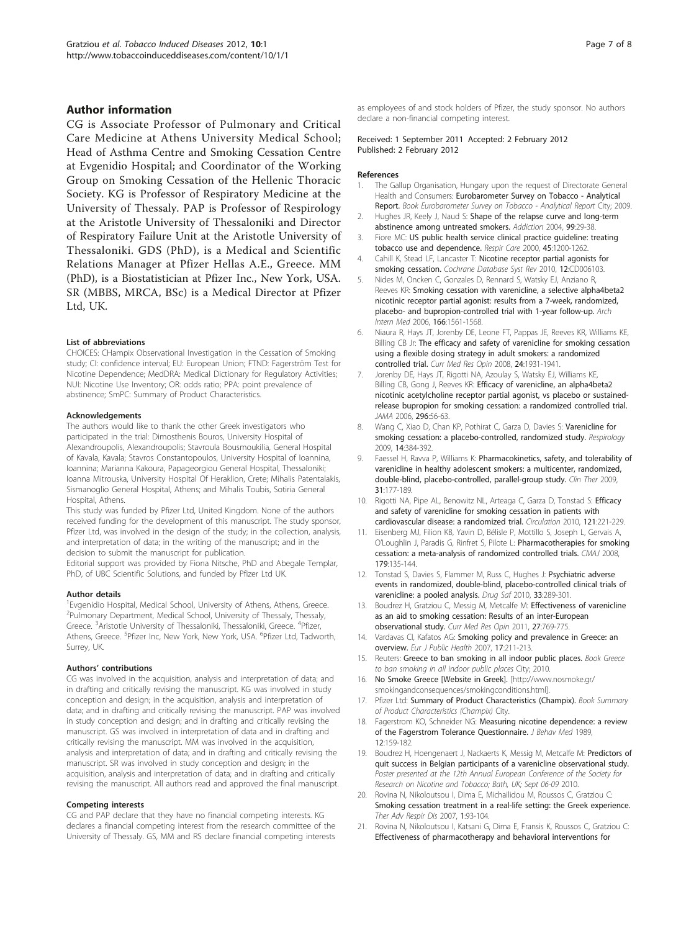## <span id="page-6-0"></span>Author information

CG is Associate Professor of Pulmonary and Critical Care Medicine at Athens University Medical School; Head of Asthma Centre and Smoking Cessation Centre at Evgenidio Hospital; and Coordinator of the Working Group on Smoking Cessation of the Hellenic Thoracic Society. KG is Professor of Respiratory Medicine at the University of Thessaly. PAP is Professor of Respirology at the Aristotle University of Thessaloniki and Director of Respiratory Failure Unit at the Aristotle University of Thessaloniki. GDS (PhD), is a Medical and Scientific Relations Manager at Pfizer Hellas A.E., Greece. MM (PhD), is a Biostatistician at Pfizer Inc., New York, USA. SR (MBBS, MRCA, BSc) is a Medical Director at Pfizer Ltd, UK.

#### List of abbreviations

CHOICES: CHampix Observational Investigation in the Cessation of Smoking study; CI: confidence interval; EU: European Union; FTND: Fagerström Test for Nicotine Dependence; MedDRA: Medical Dictionary for Regulatory Activities; NUI: Nicotine Use Inventory; OR: odds ratio; PPA: point prevalence of abstinence; SmPC: Summary of Product Characteristics.

#### Acknowledgements

The authors would like to thank the other Greek investigators who participated in the trial: Dimosthenis Bouros, University Hospital of Alexandroupolis, Alexandroupolis; Stavroula Bousmoukilia, General Hospital of Kavala, Kavala; Stavros Constantopoulos, University Hospital of Ioannina, Ioannina; Marianna Kakoura, Papageorgiou General Hospital, Thessaloniki; Ioanna Mitrouska, University Hospital Of Heraklion, Crete; Mihalis Patentalakis, Sismanoglio General Hospital, Athens; and Mihalis Toubis, Sotiria General Hospital, Athens.

This study was funded by Pfizer Ltd, United Kingdom. None of the authors received funding for the development of this manuscript. The study sponsor, Pfizer Ltd, was involved in the design of the study; in the collection, analysis, and interpretation of data; in the writing of the manuscript; and in the decision to submit the manuscript for publication.

Editorial support was provided by Fiona Nitsche, PhD and Abegale Templar, PhD, of UBC Scientific Solutions, and funded by Pfizer Ltd UK.

#### Author details

<sup>1</sup> Evgenidio Hospital, Medical School, University of Athens, Athens, Greece. <sup>2</sup> Pulmonary Department, Medical School, University of Thessaly, Thessaly, Greece. <sup>3</sup>Aristotle University of Thessaloniki, Thessaloniki, Greece. <sup>4</sup>Pfizer, Athens, Greece. <sup>5</sup>Pfizer Inc, New York, New York, USA. <sup>6</sup>Pfizer Ltd, Tadworth, Surrey, UK.

#### Authors' contributions

CG was involved in the acquisition, analysis and interpretation of data; and in drafting and critically revising the manuscript. KG was involved in study conception and design; in the acquisition, analysis and interpretation of data; and in drafting and critically revising the manuscript. PAP was involved in study conception and design; and in drafting and critically revising the manuscript. GS was involved in interpretation of data and in drafting and critically revising the manuscript. MM was involved in the acquisition, analysis and interpretation of data; and in drafting and critically revising the manuscript. SR was involved in study conception and design; in the acquisition, analysis and interpretation of data; and in drafting and critically revising the manuscript. All authors read and approved the final manuscript.

#### Competing interests

CG and PAP declare that they have no financial competing interests. KG declares a financial competing interest from the research committee of the University of Thessaly. GS, MM and RS declare financial competing interests

as employees of and stock holders of Pfizer, the study sponsor. No authors declare a non-financial competing interest.

#### Received: 1 September 2011 Accepted: 2 February 2012 Published: 2 February 2012

#### References

- The Gallup Organisation, Hungary upon the request of Directorate General Health and Consumers: Eurobarometer Survey on Tobacco - Analytical Report. Book Eurobarometer Survey on Tobacco - Analytical Report City; 2009.
- 2. Hughes JR, Keely J, Naud S: [Shape of the relapse curve and long-term](http://www.ncbi.nlm.nih.gov/pubmed/14678060?dopt=Abstract) [abstinence among untreated smokers.](http://www.ncbi.nlm.nih.gov/pubmed/14678060?dopt=Abstract) Addiction 2004, 99:29-38.
- 3. Fiore MC: [US public health service clinical practice guideline: treating](http://www.ncbi.nlm.nih.gov/pubmed/11054899?dopt=Abstract) [tobacco use and dependence.](http://www.ncbi.nlm.nih.gov/pubmed/11054899?dopt=Abstract) Respir Care 2000, 45:1200-1262.
- 4. Cahill K, Stead LF, Lancaster T: [Nicotine receptor partial agonists for](http://www.ncbi.nlm.nih.gov/pubmed/21154363?dopt=Abstract) [smoking cessation.](http://www.ncbi.nlm.nih.gov/pubmed/21154363?dopt=Abstract) Cochrane Database Syst Rev 2010, 12:CD006103.
- 5. Nides M, Oncken C, Gonzales D, Rennard S, Watsky EJ, Anziano R, Reeves KR: [Smoking cessation with varenicline, a selective alpha4beta2](http://www.ncbi.nlm.nih.gov/pubmed/16908788?dopt=Abstract) [nicotinic receptor partial agonist: results from a 7-week, randomized,](http://www.ncbi.nlm.nih.gov/pubmed/16908788?dopt=Abstract) [placebo- and bupropion-controlled trial with 1-year follow-up.](http://www.ncbi.nlm.nih.gov/pubmed/16908788?dopt=Abstract) Arch Intern Med 2006, 166:1561-1568.
- 6. Niaura R, Hays JT, Jorenby DE, Leone FT, Pappas JE, Reeves KR, Williams KE, Billing CB Jr: [The efficacy and safety of varenicline for smoking cessation](http://www.ncbi.nlm.nih.gov/pubmed/18513462?dopt=Abstract) [using a flexible dosing strategy in adult smokers: a randomized](http://www.ncbi.nlm.nih.gov/pubmed/18513462?dopt=Abstract) [controlled trial.](http://www.ncbi.nlm.nih.gov/pubmed/18513462?dopt=Abstract) Curr Med Res Opin 2008, 24:1931-1941.
- 7. Jorenby DE, Hays JT, Rigotti NA, Azoulay S, Watsky EJ, Williams KE, Billing CB, Gong J, Reeves KR: [Efficacy of varenicline, an alpha4beta2](http://www.ncbi.nlm.nih.gov/pubmed/16820547?dopt=Abstract) [nicotinic acetylcholine receptor partial agonist, vs placebo or sustained](http://www.ncbi.nlm.nih.gov/pubmed/16820547?dopt=Abstract)[release bupropion for smoking cessation: a randomized controlled trial.](http://www.ncbi.nlm.nih.gov/pubmed/16820547?dopt=Abstract) JAMA 2006, 296:56-63.
- 8. Wang C, Xiao D, Chan KP, Pothirat C, Garza D, Davies S: [Varenicline for](http://www.ncbi.nlm.nih.gov/pubmed/19192221?dopt=Abstract) [smoking cessation: a placebo-controlled, randomized study.](http://www.ncbi.nlm.nih.gov/pubmed/19192221?dopt=Abstract) Respirology 2009, 14:384-392.
- 9. Faessel H, Ravva P, Williams K: [Pharmacokinetics, safety, and tolerability of](http://www.ncbi.nlm.nih.gov/pubmed/19243716?dopt=Abstract) [varenicline in healthy adolescent smokers: a multicenter, randomized,](http://www.ncbi.nlm.nih.gov/pubmed/19243716?dopt=Abstract) [double-blind, placebo-controlled, parallel-group study.](http://www.ncbi.nlm.nih.gov/pubmed/19243716?dopt=Abstract) Clin Ther 2009, 31:177-189.
- 10. Rigotti NA, Pipe AL, Benowitz NL, Arteaga C, Garza D, Tonstad S: [Efficacy](http://www.ncbi.nlm.nih.gov/pubmed/20048210?dopt=Abstract) [and safety of varenicline for smoking cessation in patients with](http://www.ncbi.nlm.nih.gov/pubmed/20048210?dopt=Abstract) [cardiovascular disease: a randomized trial.](http://www.ncbi.nlm.nih.gov/pubmed/20048210?dopt=Abstract) Circulation 2010, 121:221-229.
- 11. Eisenberg MJ, Filion KB, Yavin D, Bélisle P, Mottillo S, Joseph L, Gervais A, O'Loughlin J, Paradis G, Rinfret S, Pilote L: [Pharmacotherapies for smoking](http://www.ncbi.nlm.nih.gov/pubmed/18625984?dopt=Abstract) [cessation: a meta-analysis of randomized controlled trials.](http://www.ncbi.nlm.nih.gov/pubmed/18625984?dopt=Abstract) CMAJ 2008, 179:135-144.
- 12. Tonstad S, Davies S, Flammer M, Russ C, Hughes J: [Psychiatric adverse](http://www.ncbi.nlm.nih.gov/pubmed/20297861?dopt=Abstract) [events in randomized, double-blind, placebo-controlled clinical trials of](http://www.ncbi.nlm.nih.gov/pubmed/20297861?dopt=Abstract) [varenicline: a pooled analysis.](http://www.ncbi.nlm.nih.gov/pubmed/20297861?dopt=Abstract) Drug Saf 2010, 33:289-301.
- 13. Boudrez H, Gratziou C, Messig M, Metcalfe M: [Effectiveness of varenicline](http://www.ncbi.nlm.nih.gov/pubmed/21294601?dopt=Abstract) [as an aid to smoking cessation: Results of an inter-European](http://www.ncbi.nlm.nih.gov/pubmed/21294601?dopt=Abstract) [observational study.](http://www.ncbi.nlm.nih.gov/pubmed/21294601?dopt=Abstract) Curr Med Res Opin 2011, 27:769-775.
- 14. Vardavas CI, Kafatos AG: [Smoking policy and prevalence in Greece: an](http://www.ncbi.nlm.nih.gov/pubmed/17065175?dopt=Abstract) [overview.](http://www.ncbi.nlm.nih.gov/pubmed/17065175?dopt=Abstract) Eur J Public Health 2007, 17:211-213.
- 15. Reuters: Greece to ban smoking in all indoor public places. Book Greece to ban smoking in all indoor public places City; 2010.
- 16. No Smoke Greece [Website in Greek]. [\[http://www.nosmoke.gr/](http://www.nosmoke.gr/smokingandconsequences/smokingconditions.html) [smokingandconsequences/smokingconditions.html\]](http://www.nosmoke.gr/smokingandconsequences/smokingconditions.html).
- 17. Pfizer Ltd: Summary of Product Characteristics (Champix). Book Summary of Product Characteristics (Champix) City.
- 18. Fagerstrom KO, Schneider NG: [Measuring nicotine dependence: a review](http://www.ncbi.nlm.nih.gov/pubmed/2668531?dopt=Abstract) [of the Fagerstrom Tolerance Questionnaire.](http://www.ncbi.nlm.nih.gov/pubmed/2668531?dopt=Abstract) J Behav Med 1989, 12:159-182.
- 19. Boudrez H, Hoengenaert J, Nackaerts K, Messig M, Metcalfe M: Predictors of quit success in Belgian participants of a varenicline observational study. Poster presented at the 12th Annual European Conference of the Society for Research on Nicotine and Tobacco; Bath, UK; Sept 06-09 2010.
- 20. Rovina N, Nikoloutsou I, Dima E, Michailidou M, Roussos C, Gratziou C: [Smoking cessation treatment in a real-life setting: the Greek experience.](http://www.ncbi.nlm.nih.gov/pubmed/19124351?dopt=Abstract) Ther Adv Respir Dis 2007, 1:93-104.
- 21. Rovina N, Nikoloutsou I, Katsani G, Dima E, Fransis K, Roussos C, Gratziou C: [Effectiveness of pharmacotherapy and behavioral interventions for](http://www.ncbi.nlm.nih.gov/pubmed/19934280?dopt=Abstract)